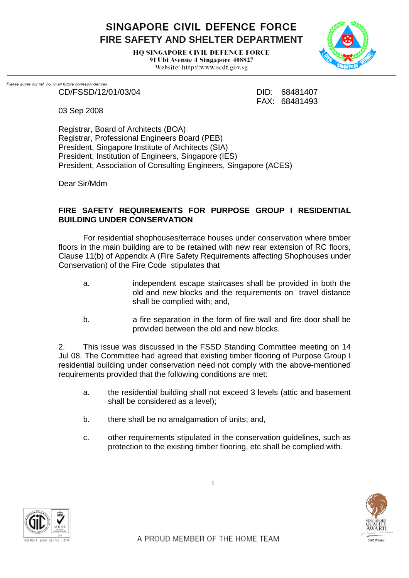SINGAPORE CIVIL DEFENCE FORCE **FIRE SAFETY AND SHELTER DEPARTMENT** 

> **HO SINGAPORE CIVIL DEFENCE FORCE** 91 Ubi Avenue 4 Singapore 408827 Website: http//:www.scdf.gov.sg



.<br>Please quote our ref. no. in all future correspondences CD/FSSD/12/01/03/04 DID: 68481407

FAX: 68481493

03 Sep 2008

Registrar, Board of Architects (BOA) Registrar, Professional Engineers Board (PEB) President, Singapore Institute of Architects (SIA) President, Institution of Engineers, Singapore (IES) President, Association of Consulting Engineers, Singapore (ACES)

Dear Sir/Mdm

## **FIRE SAFETY REQUIREMENTS FOR PURPOSE GROUP I RESIDENTIAL BUILDING UNDER CONSERVATION**

For residential shophouses/terrace houses under conservation where timber floors in the main building are to be retained with new rear extension of RC floors, Clause 11(b) of Appendix A (Fire Safety Requirements affecting Shophouses under Conservation) of the Fire Code stipulates that

- a. independent escape staircases shall be provided in both the old and new blocks and the requirements on travel distance shall be complied with; and,
- b. a fire separation in the form of fire wall and fire door shall be provided between the old and new blocks.

2. This issue was discussed in the FSSD Standing Committee meeting on 14 Jul 08. The Committee had agreed that existing timber flooring of Purpose Group I residential building under conservation need not comply with the above-mentioned requirements provided that the following conditions are met:

- a. the residential building shall not exceed 3 levels (attic and basement shall be considered as a level);
- b. there shall be no amalgamation of units; and,
- c. other requirements stipulated in the conservation guidelines, such as protection to the existing timber flooring, etc shall be complied with.

1